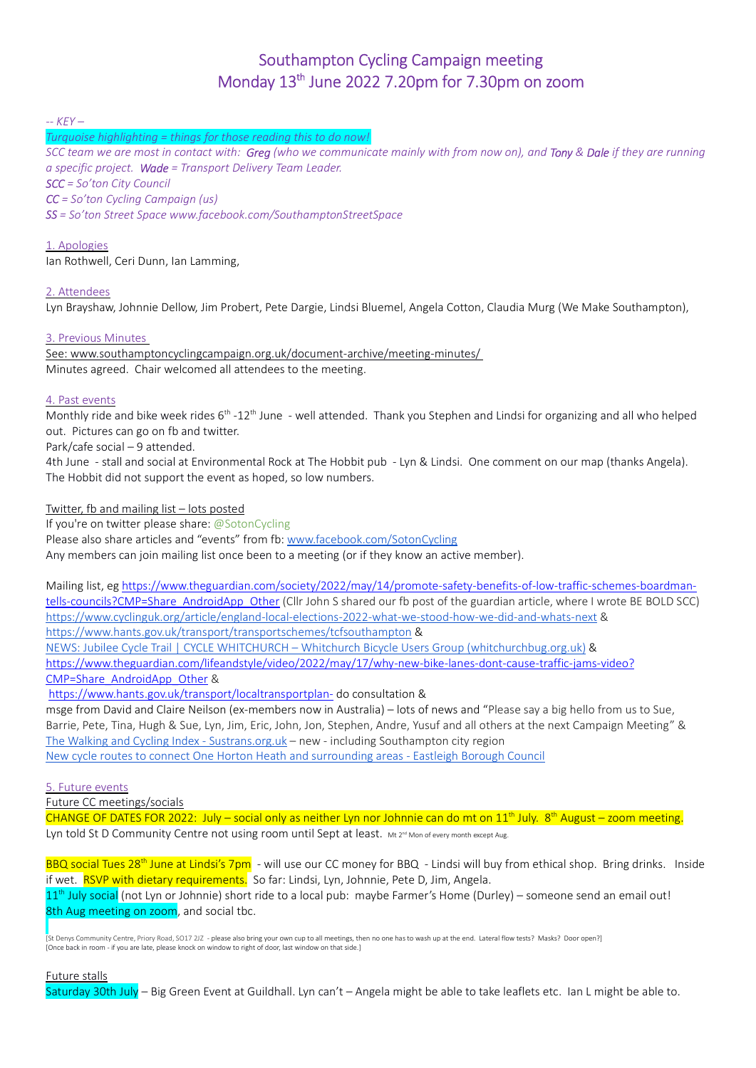# Southampton Cycling Campaign meeting Monday 13<sup>th</sup> June 2022 7.20pm for 7.30pm on zoom

 $-$  KEY  $-$ 

Turquoise highlighting = things for those reading this to do now!

SCC team we are most in contact with: Greg (who we communicate mainly with from now on), and Tony & Dale if they are running a specific project. Wade = Transport Delivery Team Leader. SCC = So'ton City Council

CC = So'ton Cycling Campaign (us)

SS = So'ton Street Space www.facebook.com/SouthamptonStreetSpace

# 1. Apologies

Ian Rothwell, Ceri Dunn, Ian Lamming,

# 2. Attendees

Lyn Brayshaw, Johnnie Dellow, Jim Probert, Pete Dargie, Lindsi Bluemel, Angela Cotton, Claudia Murg (We Make Southampton),

## 3. Previous Minutes

 See: www.southamptoncyclingcampaign.org.uk/document-archive/meeting-minutes/ Minutes agreed. Chair welcomed all attendees to the meeting.

## 4. Past events

Monthly ride and bike week rides  $6^{th}$  -12<sup>th</sup> June - well attended. Thank you Stephen and Lindsi for organizing and all who helped out. Pictures can go on fb and twitter.

Park/cafe social – 9 attended.

4th June - stall and social at Environmental Rock at The Hobbit pub - Lyn & Lindsi. One comment on our map (thanks Angela). The Hobbit did not support the event as hoped, so low numbers.

Twitter, fb and mailing list – lots posted

If you're on twitter please share: @SotonCycling Please also share articles and "events" from fb: www.facebook.com/SotonCycling Any members can join mailing list once been to a meeting (or if they know an active member).

Mailing list, eg https://www.theguardian.com/society/2022/may/14/promote-safety-benefits-of-low-traffic-schemes-boardmantells-councils?CMP=Share\_AndroidApp\_Other (Cllr John S shared our fb post of the guardian article, where I wrote BE BOLD SCC) https://www.cyclinguk.org/article/england-local-elections-2022-what-we-stood-how-we-did-and-whats-next & https://www.hants.gov.uk/transport/transportschemes/tcfsouthampton &

NEWS: Jubilee Cycle Trail | CYCLE WHITCHURCH – Whitchurch Bicycle Users Group (whitchurchbug.org.uk) &

https://www.theguardian.com/lifeandstyle/video/2022/may/17/why-new-bike-lanes-dont-cause-traffic-jams-video? CMP=Share\_AndroidApp\_Other &

https://www.hants.gov.uk/transport/localtransportplan- do consultation &

msge from David and Claire Neilson (ex-members now in Australia) – lots of news and "Please say a big hello from us to Sue, Barrie, Pete, Tina, Hugh & Sue, Lyn, Jim, Eric, John, Jon, Stephen, Andre, Yusuf and all others at the next Campaign Meeting" & The Walking and Cycling Index - Sustrans.org.uk – new - including Southampton city region New cycle routes to connect One Horton Heath and surrounding areas - Eastleigh Borough Council

5. Future events

Future CC meetings/socials

CHANGE OF DATES FOR 2022: July – social only as neither Lyn nor Johnnie can do mt on  $11<sup>th</sup>$  July. 8<sup>th</sup> August – zoom meeting. Lyn told St D Community Centre not using room until Sept at least. Mt 2<sup>nd</sup> Mon of every month except Aug.

BBQ social Tues 28<sup>th</sup> June at Lindsi's 7pm - will use our CC money for BBQ - Lindsi will buy from ethical shop. Bring drinks. Inside if wet. RSVP with dietary requirements. So far: Lindsi, Lyn, Johnnie, Pete D, Jim, Angela.  $11<sup>th</sup>$  July social (not Lyn or Johnnie) short ride to a local pub: maybe Farmer's Home (Durley) – someone send an email out! 8th Aug meeting on zoom, and social tbc.

[St Denys Community Centre, Priory Road, SO17 2JZ - please also bring your own cup to all meetings, then no one has to wash up at the end. Lateral flow tests? Masks? Door open?] [Once back in room - if you are late, please knock on window to right of door, last window on that side.]

Future stalls

Saturday 30th July – Big Green Event at Guildhall. Lyn can't – Angela might be able to take leaflets etc. Ian L might be able to.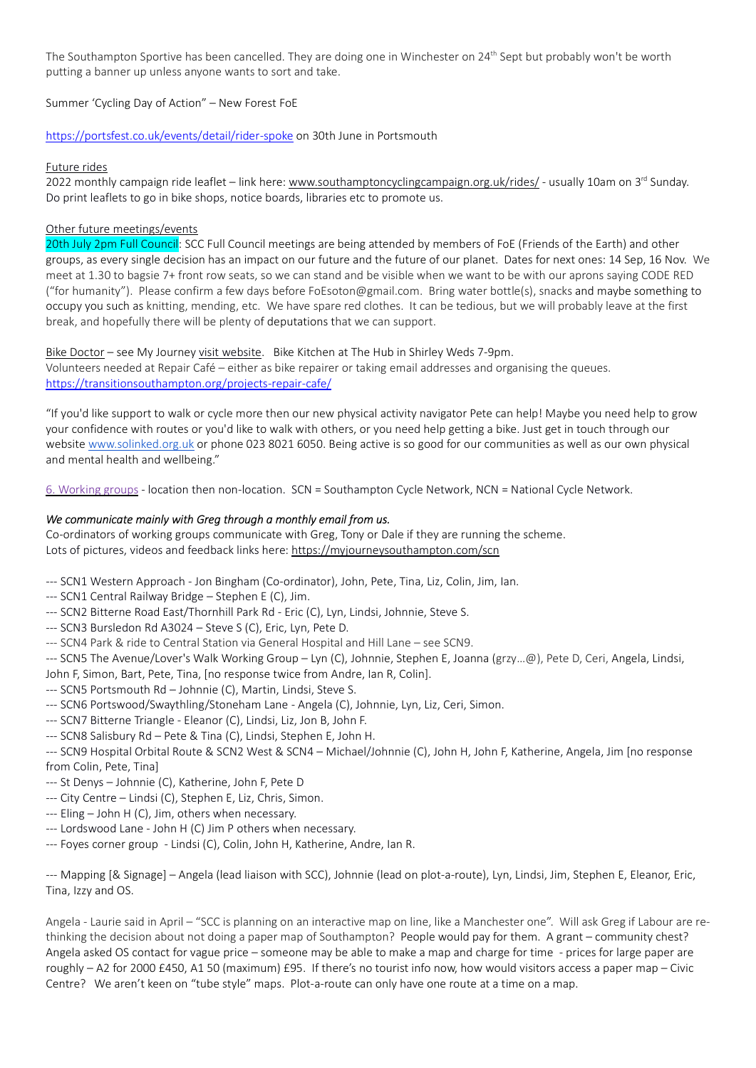The Southampton Sportive has been cancelled. They are doing one in Winchester on 24<sup>th</sup> Sept but probably won't be worth putting a banner up unless anyone wants to sort and take.

Summer 'Cycling Day of Action" – New Forest FoE

https://portsfest.co.uk/events/detail/rider-spoke on 30th June in Portsmouth

# Future rides

2022 monthly campaign ride leaflet – link here: www.southamptoncyclingcampaign.org.uk/rides/ - usually 10am on 3<sup>rd</sup> Sunday. Do print leaflets to go in bike shops, notice boards, libraries etc to promote us.

# Other future meetings/events

20th July 2pm Full Council: SCC Full Council meetings are being attended by members of FoE (Friends of the Earth) and other groups, as every single decision has an impact on our future and the future of our planet. Dates for next ones: 14 Sep, 16 Nov. We meet at 1.30 to bagsie 7+ front row seats, so we can stand and be visible when we want to be with our aprons saying CODE RED ("for humanity"). Please confirm a few days before FoEsoton@gmail.com. Bring water bottle(s), snacks and maybe something to occupy you such as knitting, mending, etc. We have spare red clothes. It can be tedious, but we will probably leave at the first break, and hopefully there will be plenty of deputations that we can support.

Bike Doctor – see My Journey visit website. Bike Kitchen at The Hub in Shirley Weds 7-9pm. Volunteers needed at Repair Café – either as bike repairer or taking email addresses and organising the queues. https://transitionsouthampton.org/projects-repair-cafe/

"If you'd like support to walk or cycle more then our new physical activity navigator Pete can help! Maybe you need help to grow your confidence with routes or you'd like to walk with others, or you need help getting a bike. Just get in touch through our website www.solinked.org.uk or phone 023 8021 6050. Being active is so good for our communities as well as our own physical and mental health and wellbeing."

6. Working groups - location then non-location. SCN = Southampton Cycle Network, NCN = National Cycle Network.

# We communicate mainly with Greg through a monthly email from us.

Co-ordinators of working groups communicate with Greg, Tony or Dale if they are running the scheme. Lots of pictures, videos and feedback links here: https://myjourneysouthampton.com/scn

- --- SCN1 Western Approach Jon Bingham (Co-ordinator), John, Pete, Tina, Liz, Colin, Jim, Ian.
- --- SCN1 Central Railway Bridge Stephen E (C), Jim.
- --- SCN2 Bitterne Road East/Thornhill Park Rd Eric (C), Lyn, Lindsi, Johnnie, Steve S.
- --- SCN3 Bursledon Rd A3024 Steve S (C), Eric, Lyn, Pete D.
- --- SCN4 Park & ride to Central Station via General Hospital and Hill Lane see SCN9.
- --- SCN5 The Avenue/Lover's Walk Working Group Lyn (C), Johnnie, Stephen E, Joanna (grzy…@), Pete D, Ceri, Angela, Lindsi,

John F, Simon, Bart, Pete, Tina, [no response twice from Andre, Ian R, Colin].

- --- SCN5 Portsmouth Rd Johnnie (C), Martin, Lindsi, Steve S.
- --- SCN6 Portswood/Swaythling/Stoneham Lane Angela (C), Johnnie, Lyn, Liz, Ceri, Simon.
- --- SCN7 Bitterne Triangle Eleanor (C), Lindsi, Liz, Jon B, John F.
- --- SCN8 Salisbury Rd Pete & Tina (C), Lindsi, Stephen E, John H.

--- SCN9 Hospital Orbital Route & SCN2 West & SCN4 – Michael/Johnnie (C), John H, John F, Katherine, Angela, Jim [no response from Colin, Pete, Tina]

- --- St Denys Johnnie (C), Katherine, John F, Pete D
- --- City Centre Lindsi (C), Stephen E, Liz, Chris, Simon.
- --- Eling John H (C), Jim, others when necessary.
- --- Lordswood Lane John H (C) Jim P others when necessary.
- --- Foyes corner group Lindsi (C), Colin, John H, Katherine, Andre, Ian R.

--- Mapping [& Signage] – Angela (lead liaison with SCC), Johnnie (lead on plot-a-route), Lyn, Lindsi, Jim, Stephen E, Eleanor, Eric, Tina, Izzy and OS.

Angela - Laurie said in April – "SCC is planning on an interactive map on line, like a Manchester one". Will ask Greg if Labour are rethinking the decision about not doing a paper map of Southampton? People would pay for them. A grant – community chest? Angela asked OS contact for vague price – someone may be able to make a map and charge for time - prices for large paper are roughly – A2 for 2000 £450, A1 50 (maximum) £95. If there's no tourist info now, how would visitors access a paper map – Civic Centre? We aren't keen on "tube style" maps. Plot-a-route can only have one route at a time on a map.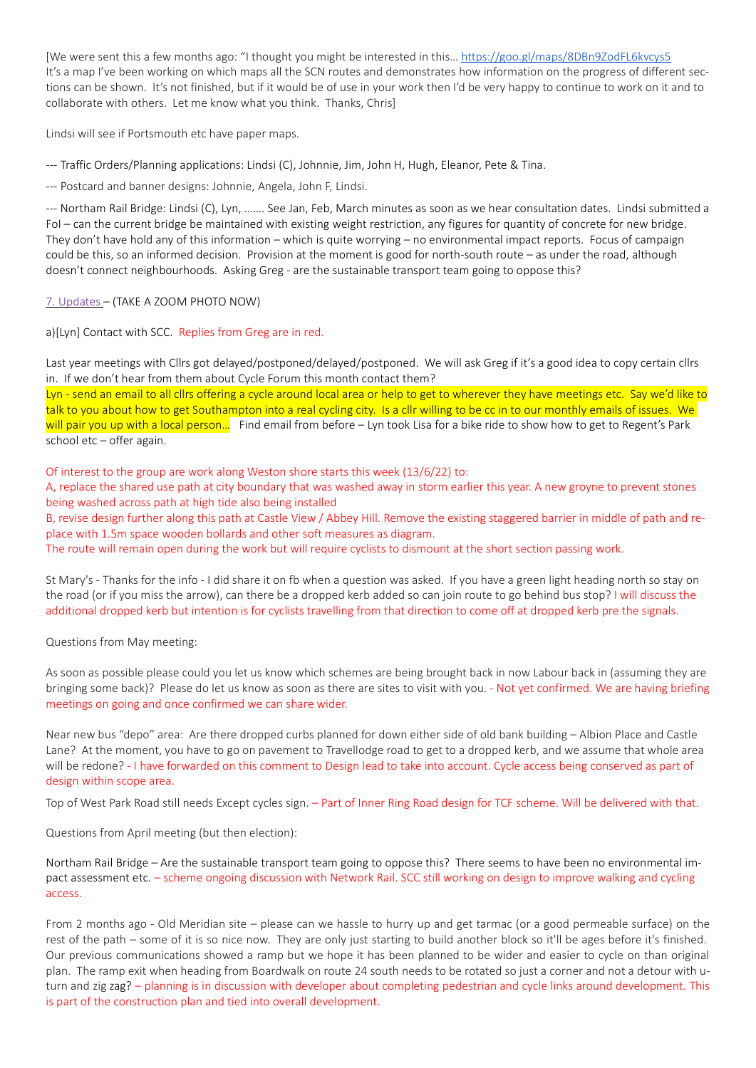[We were sent this a few months ago: "I thought you might be interested in this… https://goo.gl/maps/8DBn9ZodFL6kvcys5 It's a map I've been working on which maps all the SCN routes and demonstrates how information on the progress of different sections can be shown. It's not finished, but if it would be of use in your work then I'd be very happy to continue to work on it and to collaborate with others. Let me know what you think. Thanks, Chris]

Lindsi will see if Portsmouth etc have paper maps.

--- Traffic Orders/Planning applications: Lindsi (C), Johnnie, Jim, John H, Hugh, Eleanor, Pete & Tina.

--- Postcard and banner designs: Johnnie, Angela, John F, Lindsi.

--- Northam Rail Bridge: Lindsi (C), Lyn, ……. See Jan, Feb, March minutes as soon as we hear consultation dates. Lindsi submitted a FoI – can the current bridge be maintained with existing weight restriction, any figures for quantity of concrete for new bridge. They don't have hold any of this information – which is quite worrying – no environmental impact reports. Focus of campaign could be this, so an informed decision. Provision at the moment is good for north-south route – as under the road, although doesn't connect neighbourhoods. Asking Greg - are the sustainable transport team going to oppose this?

## 7. Updates – (TAKE A ZOOM PHOTO NOW)

a)[Lyn] Contact with SCC. Replies from Greg are in red.

Last year meetings with Cllrs got delayed/postponed/delayed/postponed. We will ask Greg if it's a good idea to copy certain cllrs in. If we don't hear from them about Cycle Forum this month contact them?

Lyn - send an email to all cllrs offering a cycle around local area or help to get to wherever they have meetings etc. Say we'd like to talk to you about how to get Southampton into a real cycling city. Is a cllr willing to be cc in to our monthly emails of issues. We will pair you up with a local person... Find email from before – Lyn took Lisa for a bike ride to show how to get to Regent's Park school etc – offer again.

Of interest to the group are work along Weston shore starts this week (13/6/22) to:

A, replace the shared use path at city boundary that was washed away in storm earlier this year. A new groyne to prevent stones being washed across path at high tide also being installed

B, revise design further along this path at Castle View / Abbey Hill. Remove the existing staggered barrier in middle of path and replace with 1.5m space wooden bollards and other soft measures as diagram.

The route will remain open during the work but will require cyclists to dismount at the short section passing work.

St Mary's - Thanks for the info - I did share it on fb when a question was asked. If you have a green light heading north so stay on the road (or if you miss the arrow), can there be a dropped kerb added so can join route to go behind bus stop? I will discuss the additional dropped kerb but intention is for cyclists travelling from that direction to come off at dropped kerb pre the signals.

#### Questions from May meeting:

As soon as possible please could you let us know which schemes are being brought back in now Labour back in (assuming they are bringing some back)? Please do let us know as soon as there are sites to visit with you. - Not yet confirmed. We are having briefing meetings on going and once confirmed we can share wider.

Near new bus "depo" area: Are there dropped curbs planned for down either side of old bank building – Albion Place and Castle Lane? At the moment, you have to go on pavement to Travellodge road to get to a dropped kerb, and we assume that whole area will be redone? - I have forwarded on this comment to Design lead to take into account. Cycle access being conserved as part of design within scope area.

Top of West Park Road still needs Except cycles sign. – Part of Inner Ring Road design for TCF scheme. Will be delivered with that.

Questions from April meeting (but then election):

Northam Rail Bridge – Are the sustainable transport team going to oppose this? There seems to have been no environmental impact assessment etc. – scheme ongoing discussion with Network Rail. SCC still working on design to improve walking and cycling access.

From 2 months ago - Old Meridian site – please can we hassle to hurry up and get tarmac (or a good permeable surface) on the rest of the path – some of it is so nice now. They are only just starting to build another block so it'll be ages before it's finished. Our previous communications showed a ramp but we hope it has been planned to be wider and easier to cycle on than original plan. The ramp exit when heading from Boardwalk on route 24 south needs to be rotated so just a corner and not a detour with uturn and zig zag? – planning is in discussion with developer about completing pedestrian and cycle links around development. This is part of the construction plan and tied into overall development.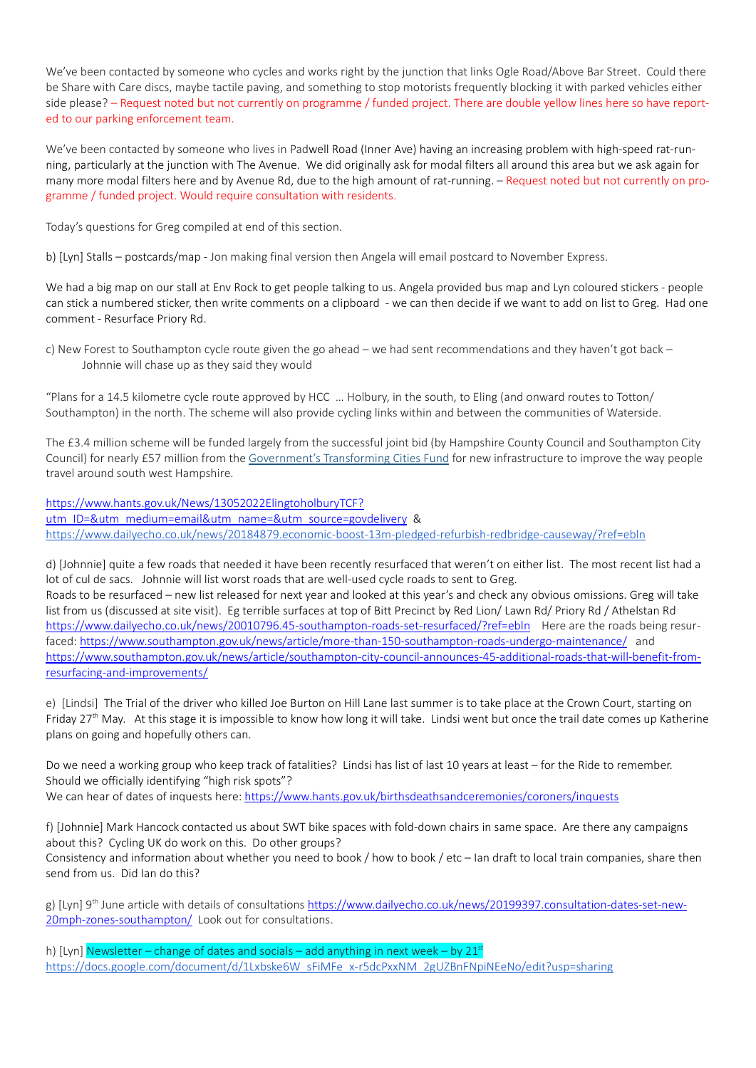We've been contacted by someone who cycles and works right by the junction that links Ogle Road/Above Bar Street. Could there be Share with Care discs, maybe tactile paving, and something to stop motorists frequently blocking it with parked vehicles either side please? – Request noted but not currently on programme / funded project. There are double yellow lines here so have reported to our parking enforcement team.

We've been contacted by someone who lives in Padwell Road (Inner Ave) having an increasing problem with high-speed rat-running, particularly at the junction with The Avenue. We did originally ask for modal filters all around this area but we ask again for many more modal filters here and by Avenue Rd, due to the high amount of rat-running. – Request noted but not currently on programme / funded project. Would require consultation with residents.

Today's questions for Greg compiled at end of this section.

b) [Lyn] Stalls – postcards/map - Jon making final version then Angela will email postcard to November Express.

We had a big map on our stall at Env Rock to get people talking to us. Angela provided bus map and Lyn coloured stickers - people can stick a numbered sticker, then write comments on a clipboard - we can then decide if we want to add on list to Greg. Had one comment - Resurface Priory Rd.

c) New Forest to Southampton cycle route given the go ahead – we had sent recommendations and they haven't got back – Johnnie will chase up as they said they would

"Plans for a 14.5 kilometre cycle route approved by HCC … Holbury, in the south, to Eling (and onward routes to Totton/ Southampton) in the north. The scheme will also provide cycling links within and between the communities of Waterside.

The £3.4 million scheme will be funded largely from the successful joint bid (by Hampshire County Council and Southampton City Council) for nearly £57 million from the Government's Transforming Cities Fund for new infrastructure to improve the way people travel around south west Hampshire.

https://www.hants.gov.uk/News/13052022ElingtoholburyTCF? utm\_ID=&utm\_medium=email&utm\_name=&utm\_source=govdelivery & https://www.dailyecho.co.uk/news/20184879.economic-boost-13m-pledged-refurbish-redbridge-causeway/?ref=ebln

d) [Johnnie] quite a few roads that needed it have been recently resurfaced that weren't on either list. The most recent list had a lot of cul de sacs. Johnnie will list worst roads that are well-used cycle roads to sent to Greg. Roads to be resurfaced – new list released for next year and looked at this year's and check any obvious omissions. Greg will take list from us (discussed at site visit). Eg terrible surfaces at top of Bitt Precinct by Red Lion/ Lawn Rd/ Priory Rd / Athelstan Rd https://www.dailyecho.co.uk/news/20010796.45-southampton-roads-set-resurfaced/?ref=ebln Here are the roads being resurfaced: https://www.southampton.gov.uk/news/article/more-than-150-southampton-roads-undergo-maintenance/ and https://www.southampton.gov.uk/news/article/southampton-city-council-announces-45-additional-roads-that-will-benefit-fromresurfacing-and-improvements/

e) [Lindsi] The Trial of the driver who killed Joe Burton on Hill Lane last summer is to take place at the Crown Court, starting on Friday  $27<sup>th</sup>$  May. At this stage it is impossible to know how long it will take. Lindsi went but once the trail date comes up Katherine plans on going and hopefully others can.

Do we need a working group who keep track of fatalities? Lindsi has list of last 10 years at least – for the Ride to remember. Should we officially identifying "high risk spots"? We can hear of dates of inquests here: https://www.hants.gov.uk/birthsdeathsandceremonies/coroners/inquests

f) [Johnnie] Mark Hancock contacted us about SWT bike spaces with fold-down chairs in same space. Are there any campaigns about this? Cycling UK do work on this. Do other groups?

Consistency and information about whether you need to book / how to book / etc – Ian draft to local train companies, share then send from us. Did Ian do this?

g) [Lyn] 9<sup>th</sup> June article with details of consultations https://www.dailyecho.co.uk/news/20199397.consultation-dates-set-new-20mph-zones-southampton/ Look out for consultations.

h) [Lyn] Newsletter – change of dates and socials – add anything in next week – by  $21^{st}$ https://docs.google.com/document/d/1Lxbske6W\_sFiMFe\_x-r5dcPxxNM\_2gUZBnFNpiNEeNo/edit?usp=sharing